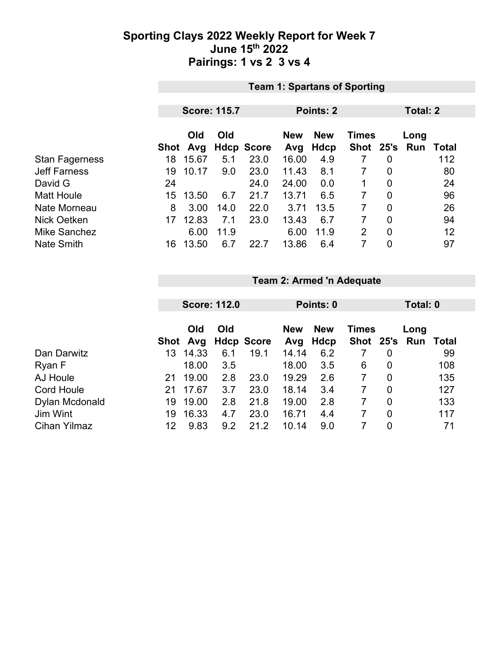### **Sporting Clays 2022 Weekly Report for Week 7 June 15th 2022 Pairings: 1 vs 2 3 vs 4**

| <b>Team 1: Spartans of Sporting</b> |       |      |                     |                   |            |                           |                |                           |       |
|-------------------------------------|-------|------|---------------------|-------------------|------------|---------------------------|----------------|---------------------------|-------|
|                                     |       |      |                     |                   |            |                           |                |                           |       |
|                                     |       |      |                     |                   |            | Total: 2                  |                |                           |       |
|                                     |       |      |                     |                   |            |                           |                |                           |       |
|                                     | Old   | Old  |                     | <b>New</b>        | <b>New</b> |                           |                | Long                      |       |
|                                     | Avg   |      |                     | Avg               | Hdcp       |                           |                | Run                       | Total |
| 18                                  | 15.67 | 5.1  | 23.0                | 16.00             | 4.9        |                           | 0              |                           | 112   |
| 19                                  | 10.17 | 9.0  | 23.0                | 11.43             | 8.1        | $\overline{7}$            | $\overline{0}$ |                           | 80    |
| 24                                  |       |      | 24.0                |                   | 0.0        | 1                         | $\mathbf 0$    |                           | 24    |
| 15                                  | 13.50 | 6.7  | 21.7                | 13.71             | 6.5        |                           | $\overline{0}$ |                           | 96    |
| 8                                   | 3.00  | 14.0 | 22.0                | 3.71              | 13.5       | 7                         | $\overline{0}$ |                           | 26    |
| 17                                  | 12.83 | 7.1  | 23.0                | 13.43             | 6.7        | 7                         | $\mathbf 0$    |                           | 94    |
|                                     | 6.00  | 11.9 |                     | 6.00              | 11.9       | $\overline{2}$            | $\mathbf 0$    |                           | 12    |
| 16                                  | 13.50 | 6.7  | 22.7                | 13.86             | 6.4        | 7                         | 0              |                           | 97    |
|                                     |       | Shot | <b>Score: 115.7</b> | <b>Hdcp Score</b> |            | <b>Points: 2</b><br>24.00 |                | <b>Times</b><br>Shot 25's |       |

## **Team 2: Armed 'n Adequate**

|                     |     | <b>Score: 112.0</b> |     |                   | Points: 0         |                    |              | Total: 0    |                       |       |
|---------------------|-----|---------------------|-----|-------------------|-------------------|--------------------|--------------|-------------|-----------------------|-------|
|                     |     | Old<br>Shot Avg     | Old | <b>Hdcp Score</b> | <b>New</b><br>Avg | <b>New</b><br>Hdcp | <b>Times</b> |             | Long<br>Shot 25's Run | Total |
| Dan Darwitz         | 13. | 14.33               | 6.1 | 19.1              | 14.14             | 6.2                |              | 0           |                       | 99    |
| Ryan F              |     | 18.00               | 3.5 |                   | 18.00             | 3.5                | 6            | 0           |                       | 108   |
| AJ Houle            | 21  | 19.00               | 2.8 | 23.0              | 19.29             | 2.6                | 7            | $\mathbf 0$ |                       | 135   |
| <b>Cord Houle</b>   | 21  | 17.67               | 3.7 | 23.0              | 18.14             | 3.4                | 7            | 0           |                       | 127   |
| Dylan Mcdonald      | 19. | 19.00               | 2.8 | 21.8              | 19.00             | 2.8                |              | $\mathbf 0$ |                       | 133   |
| Jim Wint            | 19  | 16.33               | 4.7 | 23.0              | 16.71             | 4.4                |              | 0           |                       | 117   |
| <b>Cihan Yilmaz</b> | 12  | 9.83                | 9.2 | 21.2              | 10.14             | 9.0                |              | 0           |                       | 71    |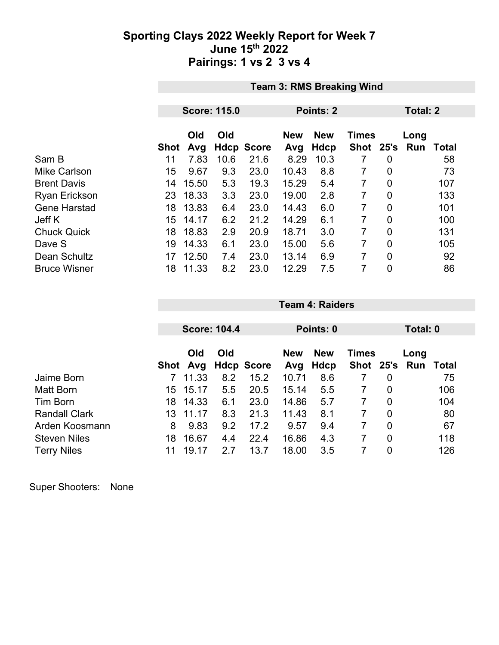#### **Sporting Clays 2022 Weekly Report for Week 7 June 15th 2022 Pairings: 1 vs 2 3 vs 4**

|                      | <b>Team 3: RMS Breaking Wind</b> |                     |      |                   |            |            |              |                |      |              |
|----------------------|----------------------------------|---------------------|------|-------------------|------------|------------|--------------|----------------|------|--------------|
|                      |                                  |                     |      |                   | Points: 2  | Total: 2   |              |                |      |              |
|                      |                                  | <b>Score: 115.0</b> |      |                   |            |            |              |                |      |              |
|                      |                                  | Old                 | Old  |                   | <b>New</b> | <b>New</b> | <b>Times</b> |                | Long |              |
|                      | <b>Shot</b>                      | Avg                 |      | <b>Hdcp Score</b> | Avg        | Hdcp       | Shot 25's    |                | Run  | <b>Total</b> |
| Sam B                | 11                               | 7.83                | 10.6 | 21.6              | 8.29       | 10.3       | 7            | $\overline{0}$ |      | 58           |
| <b>Mike Carlson</b>  | 15                               | 9.67                | 9.3  | 23.0              | 10.43      | 8.8        | 7            | $\mathbf 0$    |      | 73           |
| <b>Brent Davis</b>   | 14                               | 15.50               | 5.3  | 19.3              | 15.29      | 5.4        | 7            | 0              |      | 107          |
| <b>Ryan Erickson</b> | 23                               | 18.33               | 3.3  | 23.0              | 19.00      | 2.8        | 7            | $\mathbf 0$    |      | 133          |
| <b>Gene Harstad</b>  | 18                               | 13.83               | 6.4  | 23.0              | 14.43      | 6.0        | 7            | $\mathbf 0$    |      | 101          |
| Jeff K               | 15                               | 14.17               | 6.2  | 21.2              | 14.29      | 6.1        | 7            | 0              |      | 100          |
| <b>Chuck Quick</b>   | 18                               | 18.83               | 2.9  | 20.9              | 18.71      | 3.0        | 7            | $\mathbf 0$    |      | 131          |
| Dave S               | 19                               | 14.33               | 6.1  | 23.0              | 15.00      | 5.6        | 7            | $\overline{0}$ |      | 105          |
| Dean Schultz         | 17                               | 12.50               | 7.4  | 23.0              | 13.14      | 6.9        | 7            | 0              |      | 92           |
| <b>Bruce Wisner</b>  | 18                               | 11.33               | 8.2  | 23.0              | 12.29      | 7.5        | 7            | 0              |      | 86           |

|                      |      | <b>Score: 104.4</b> |     |                   |            | Points: 0   |              |             |      | Total: 0 |  |
|----------------------|------|---------------------|-----|-------------------|------------|-------------|--------------|-------------|------|----------|--|
|                      |      |                     |     |                   |            |             |              |             |      |          |  |
|                      |      | Old<br>Old          |     |                   | <b>New</b> | <b>New</b>  | <b>Times</b> |             | Long |          |  |
|                      | Shot | Avg                 |     | <b>Hdcp Score</b> | Avg        | <b>Hdcp</b> | Shot 25's    |             | Run  | Total    |  |
| Jaime Born           |      | 11.33               | 8.2 | 15.2              | 10.71      | 8.6         |              | $\mathbf 0$ |      | 75       |  |
| Matt Born            | 15.  | 15.17               | 5.5 | 20.5              | 15.14      | 5.5         |              | 0           |      | 106      |  |
| Tim Born             | 18.  | 14.33               | 6.1 | 23.0              | 14.86      | 5.7         |              | $\mathbf 0$ |      | 104      |  |
| <b>Randall Clark</b> | 13   | 11 17               | 8.3 | 21.3              | 11.43      | 8.1         | 7            | $\mathbf 0$ |      | 80       |  |
| Arden Koosmann       | 8    | 9.83                | 9.2 | 17.2              | 9.57       | 9.4         | 7            | $\mathbf 0$ |      | 67       |  |
| <b>Steven Niles</b>  | 18   | 16.67               | 4.4 | 22.4              | 16.86      | 4.3         | 7            | 0           |      | 118      |  |
| <b>Terry Niles</b>   | 11   | 19.<br>17           | 2.7 | 13.7              | 18.00      | 3.5         |              | 0           |      | 126      |  |

**Team 4: Raiders**

Super Shooters: None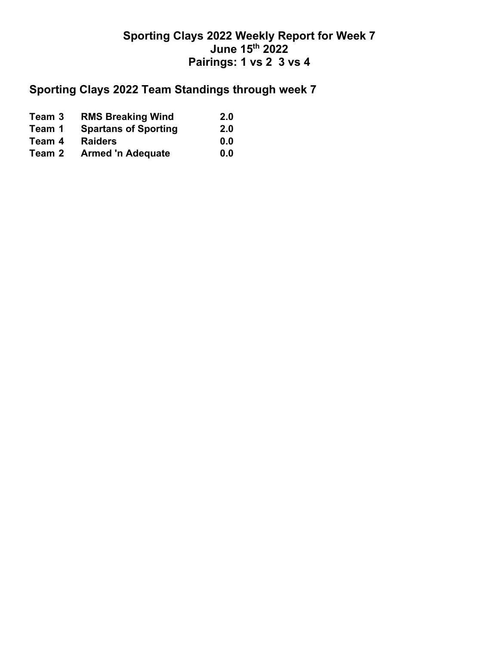### **Sporting Clays 2022 Weekly Report for Week 7 June 15th 2022 Pairings: 1 vs 2 3 vs 4**

# **Sporting Clays 2022 Team Standings through week 7**

| Team 3 | <b>RMS Breaking Wind</b>    | 2.0 |
|--------|-----------------------------|-----|
| Team 1 | <b>Spartans of Sporting</b> | 2.0 |
| Team 4 | <b>Raiders</b>              | 0.0 |
| Team 2 | <b>Armed 'n Adequate</b>    | 0.0 |